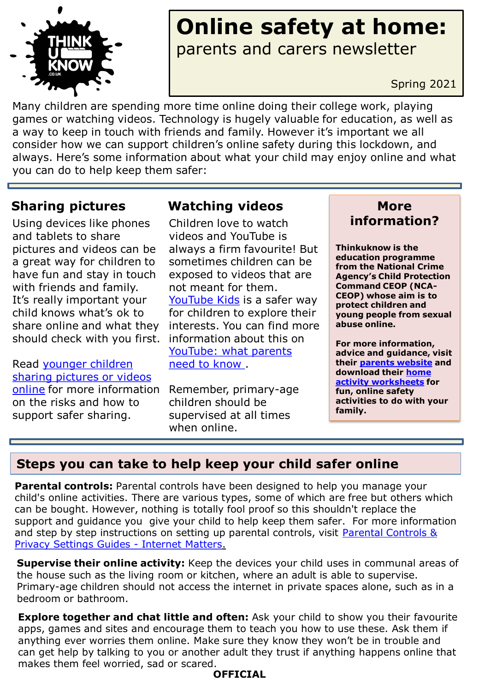

## **Online safety at home:** parents and carers newsletter

Spring 2021

Many children are spending more time online doing their college work, playing games or watching videos. Technology is hugely valuable for education, as well as a way to keep in touch with friends and family. However it's important we all consider how we can support children's online safety during this lockdown, and always. Here's some information about what your child may enjoy online and what you can do to help keep them safer:

Using devices like phones and tablets to share pictures and videos can be a great way for children to have fun and stay in touch with friends and family. It's really important your child knows what's ok to share online and what they should check with you first.

Read younger children [sharing pictures or videos](https://www.thinkuknow.co.uk/parents/articles/Has-your-child-shared-a-picture-or-video-online-/)  online for more information on the risks and how to support safer sharing.

#### **Sharing pictures Watching videos More**

Children love to watch videos and YouTube is always a firm favourite! But sometimes children can be exposed to videos that are not meant for them. [YouTube Kids](https://www.youtube.com/kids/) is a safer way for children to explore their interests. You can find more information about this on [YouTube: what parents](https://parentinfo.org/article/youtube-what-parents-need-to-know)  need to know .

Remember, primary-age children should be supervised at all times when online.

# **information?**

**Thinkuknow is the education programme from the National Crime Agency's Child Protection Command CEOP (NCA-CEOP) whose aim is to protect children and young people from sexual abuse online.** 

**For more information, advice and guidance, visit their [parents website](http://www.thinkuknow.co.uk/parents) and [download their home](https://www.thinkuknow.co.uk/parents/Support-tools/home-activity-worksheets/) activity worksheets for fun, online safety activities to do with your family.** 

#### **Steps you can take to help keep your child safer online**

**Parental controls:** Parental controls have been designed to help you manage your child's online activities. There are various types, some of which are free but others which can be bought. However, nothing is totally fool proof so this shouldn't replace the support and guidance you give your child to help keep them safer. For more information and step by step instructions on setting up parental controls, visit Parental Controls & Privacy Settings Guides - Internet Matters.

**Supervise their online activity:** Keep the devices your child uses in communal areas of the house such as the living room or kitchen, where an adult is able to supervise. Primary-age children should not access the internet in private spaces alone, such as in a bedroom or bathroom.

**Explore together and chat little and often:** Ask your child to show you their favourite apps, games and sites and encourage them to teach you how to use these. Ask them if anything ever worries them online. Make sure they know they won't be in trouble and can get help by talking to you or another adult they trust if anything happens online that makes them feel worried, sad or scared.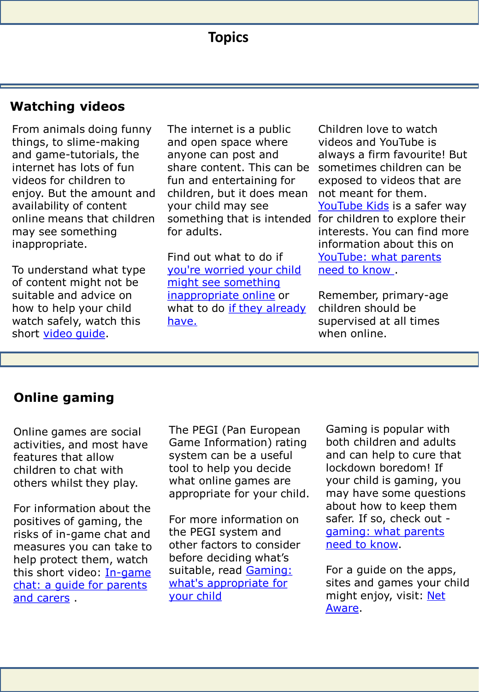#### **Watching videos**

From animals doing funny things, to slime-making and game-tutorials, the internet has lots of fun videos for children to enjoy. But the amount and availability of content online means that children may see something inappropriate.

To understand what type of content might not be suitable and advice on how to help your child watch safely, watch this short [video guide.](https://youtu.be/ykrwlhDavJs)

The internet is a public and open space where anyone can post and share content. This can be fun and entertaining for children, but it does mean your child may see for adults.

Find out what to do if [you're worried your child](https://www.thinkuknow.co.uk/parents/articles/Im-worried-my-primary-aged-child-might-see-something-inappropriate-online/)  might see something inappropriate online or what to do if they already have.

something that is intended for children to explore their Children love to watch videos and YouTube is always a firm favourite! But sometimes children can be exposed to videos that are not meant for them. [YouTube Kids](https://www.youtube.com/kids/) is a safer way interests. You can find more information about this on [YouTube: what parents](https://parentinfo.org/article/youtube-what-parents-need-to-know)  need to know .

> Remember, primary-age children should be supervised at all times when online.

#### **Online gaming**

Online games are social activities, and most have features that allow children to chat with others whilst they play.

For information about the positives of gaming, the risks of in-game chat and measures you can take to help protect them, watch this short video: In-game [chat: a guide for parents](https://www.youtube.com/watch?v=_5-ij1jm9K8&feature=emb_title)  and carers .

The PEGI (Pan European Game Information) rating system can be a useful tool to help you decide what online games are appropriate for your child.

For more information on the PEGI system and other factors to consider before deciding what's suitable, read Gaming: [what's appropriate for](https://www.thinkuknow.co.uk/parents/articles/gaming-whats-appropriate-for-your-child/)  your child

Gaming is popular with both children and adults and can help to cure that lockdown boredom! If your child is gaming, you may have some questions about how to keep them safer. If so, check out [gaming: what parents](https://www.thinkuknow.co.uk/parents/articles/gaming/)  need to know.

For a guide on the apps, sites and games your child might enjoy, visit: Net Aware.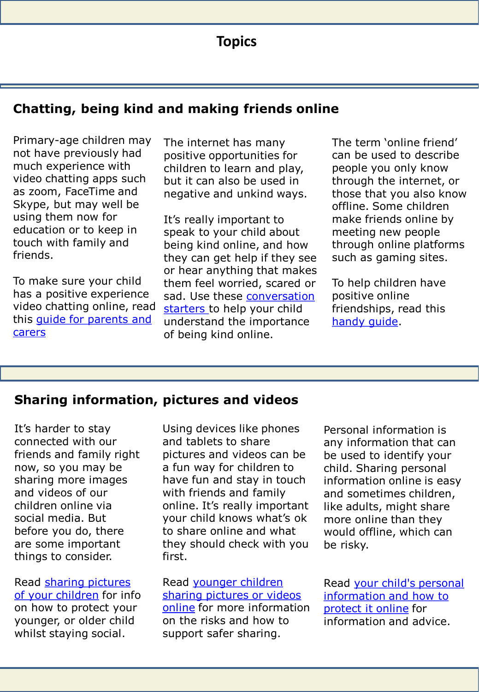### **Topics**

#### **Chatting, being kind and making friends online**

Primary-age children may not have previously had much experience with video chatting apps such as zoom, FaceTime and Skype, but may well be using them now for education or to keep in touch with family and friends.

To make sure your child has a positive experience video chatting online, read [this guide for parents and](https://parentinfo.org/article/video-chatting-a-guide-for-parents-and-carers-of-primary-school-age-children) carers

The internet has many positive opportunities for children to learn and play, but it can also be used in negative and unkind ways.

It's really important to speak to your child about being kind online, and how they can get help if they see or hear anything that makes them feel worried, scared or [sad. Use these conversation](https://parentinfo.org/article/talking-to-your-child-about-being-kind-online) starters to help your child understand the importance of being kind online.

The term 'online friend' can be used to describe people you only know through the internet, or those that you also know offline. Some children make friends online by meeting new people through online platforms such as gaming sites.

To help children have positive online friendships, read this [handy guide](https://parentinfo.org/article/online-friendships-a-parents-guide).

#### **Sharing information, pictures and videos**

It's harder to stay connected with our friends and family right now, so you may be sharing more images and videos of our children online via social media. But before you do, there are some important things to consider.

[Read sharing pictures](https://www.thinkuknow.co.uk/parents/articles/Sharing-pictures-of-your-children/)  of your children for info on how to protect your younger, or older child whilst staying social.

Using devices like phones and tablets to share pictures and videos can be a fun way for children to have fun and stay in touch with friends and family online. It's really important your child knows what's ok to share online and what they should check with you first.

Read younger children [sharing pictures or videos](https://www.thinkuknow.co.uk/parents/articles/Has-your-child-shared-a-picture-or-video-online-/)  online for more information on the risks and how to support safer sharing.

Personal information is any information that can be used to identify your child. Sharing personal information online is easy and sometimes children, like adults, might share more online than they would offline, which can be risky.

Read your child's personal [information and how to](https://parentinfo.org/article/your-child-s-personal-information-and-how-to-protect-it-online-primary)  protect it online for information and advice.